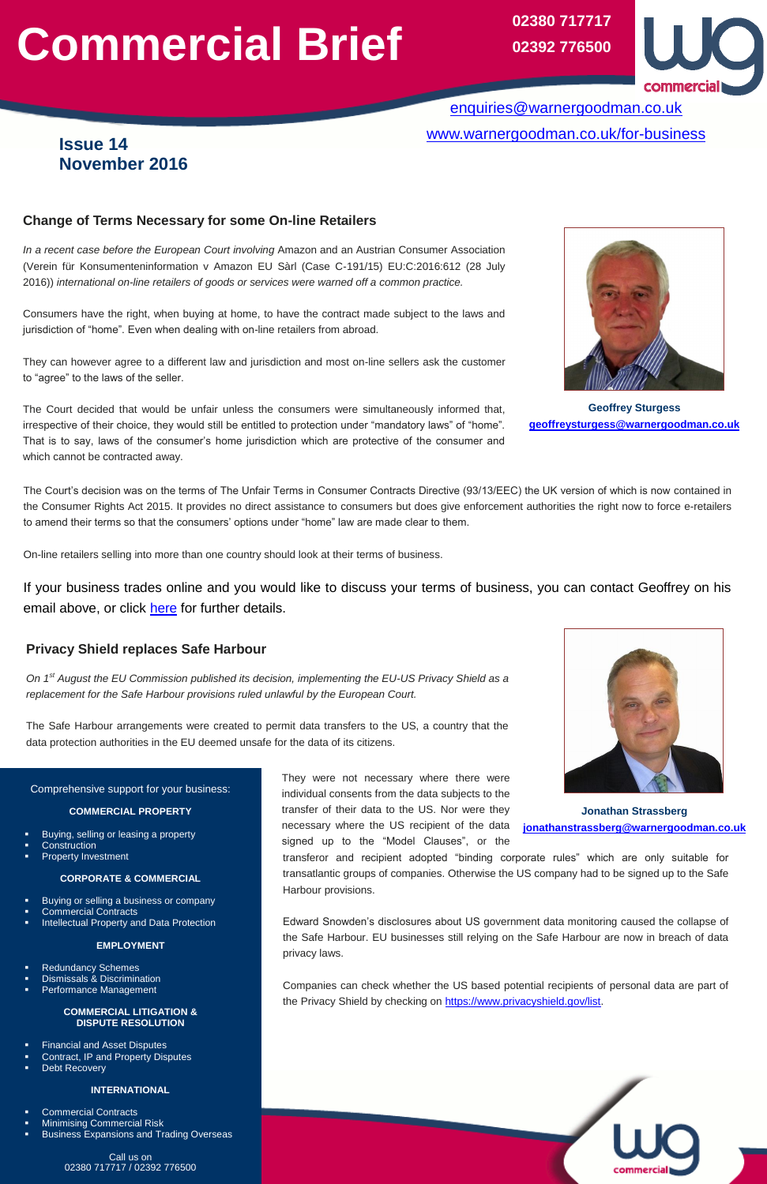# **Commercial Brief**

## Comprehensive support for your business:

#### **COMMERCIAL PROPERTY**

- Buying, selling or leasing a property
- Construction
- Property Investment

- **Buying or selling a business or company**
- Commercial Contracts
- Intellectual Property and Data Protection

#### **CORPORATE & COMMERCIAL**

#### **EMPLOYMENT**

- Redundancy Schemes
- Dismissals & Discrimination
- Performance Management

#### **COMMERCIAL LITIGATION & DISPUTE RESOLUTION**

- Financial and Asset Disputes
- Contract, IP and Property Disputes
- Debt Recovery

#### **INTERNATIONAL**

- Commercial Contracts
- Minimising Commercial Risk
- Business Expansions and Trading Overseas

Call us on 02380 717717 / 02392 776500

# **Issue 14 November 2016**

[enquiries@warnergoodman.co.uk](mailto:enquiries@warnergoodman.co.uk) [www.warnergoodman.co.uk/for-business](http://www.warnergoodman.co.uk/for-business) 

## **Change of Terms Necessary for some On-line Retailers**

*In a recent case before the European Court involving* Amazon and an Austrian Consumer Association (Verein für Konsumenteninformation v Amazon EU Sàrl (Case C-191/15) EU:C:2016:612 (28 July 2016)) *international on-line retailers of goods or services were warned off a common practice.* 

Consumers have the right, when buying at home, to have the contract made subject to the laws and jurisdiction of "home". Even when dealing with on-line retailers from abroad.

**02380 717717 02392 776500**



They can however agree to a different law and jurisdiction and most on-line sellers ask the customer to "agree" to the laws of the seller.

The Court decided that would be unfair unless the consumers were simultaneously informed that, irrespective of their choice, they would still be entitled to protection under "mandatory laws" of "home". That is to say, laws of the consumer's home jurisdiction which are protective of the consumer and which cannot be contracted away.

**Geoffrey Sturgess [geoffreysturgess@warnergoodman.co.uk](mailto:geoffreysturgess@warnergoodman.co.uk)** 

**Jonathan Strassberg [jonathanstrassberg@warnergoodman.co.uk](mailto:jonathanstrassberg@warnergoodman.co.uk)**

Edward Snowden's disclosures about US government data monitoring caused the collapse of the Safe Harbour. EU businesses still relying on the Safe Harbour are now in breach of data privacy laws.

The Court's decision was on the terms of The Unfair Terms in Consumer Contracts Directive (93/13/EEC) the UK version of which is now contained in the Consumer Rights Act 2015. It provides no direct assistance to consumers but does give enforcement authorities the right now to force e-retailers to amend their terms so that the consumers' options under "home" law are made clear to them.

On-line retailers selling into more than one country should look at their terms of business.

If your business trades online and you would like to discuss your terms of business, you can contact Geoffrey on his email above, or click [here](https://www.warnergoodman.co.uk/site/people/profile/geoffrey-sturgess) for further details.

# **Privacy Shield replaces Safe Harbour**

*On 1st August the EU Commission published its decision, implementing the EU-US Privacy Shield as a replacement for the Safe Harbour provisions ruled unlawful by the European Court.* 

The Safe Harbour arrangements were created to permit data transfers to the US, a country that the data protection authorities in the EU deemed unsafe for the data of its citizens.

> They were not necessary where there were individual consents from the data subjects to the transfer of their data to the US. Nor were they necessary where the US recipient of the data signed up to the "Model Clauses", or the

transferor and recipient adopted "binding corporate rules" which are only suitable for transatlantic groups of companies. Otherwise the US company had to be signed up to the Safe Harbour provisions. **Example 20** 



Companies can check whether the US based potential recipients of personal data are part of the Privacy Shield by checking on [https://www.privacyshield.gov/list.](https://www.privacyshield.gov/list)

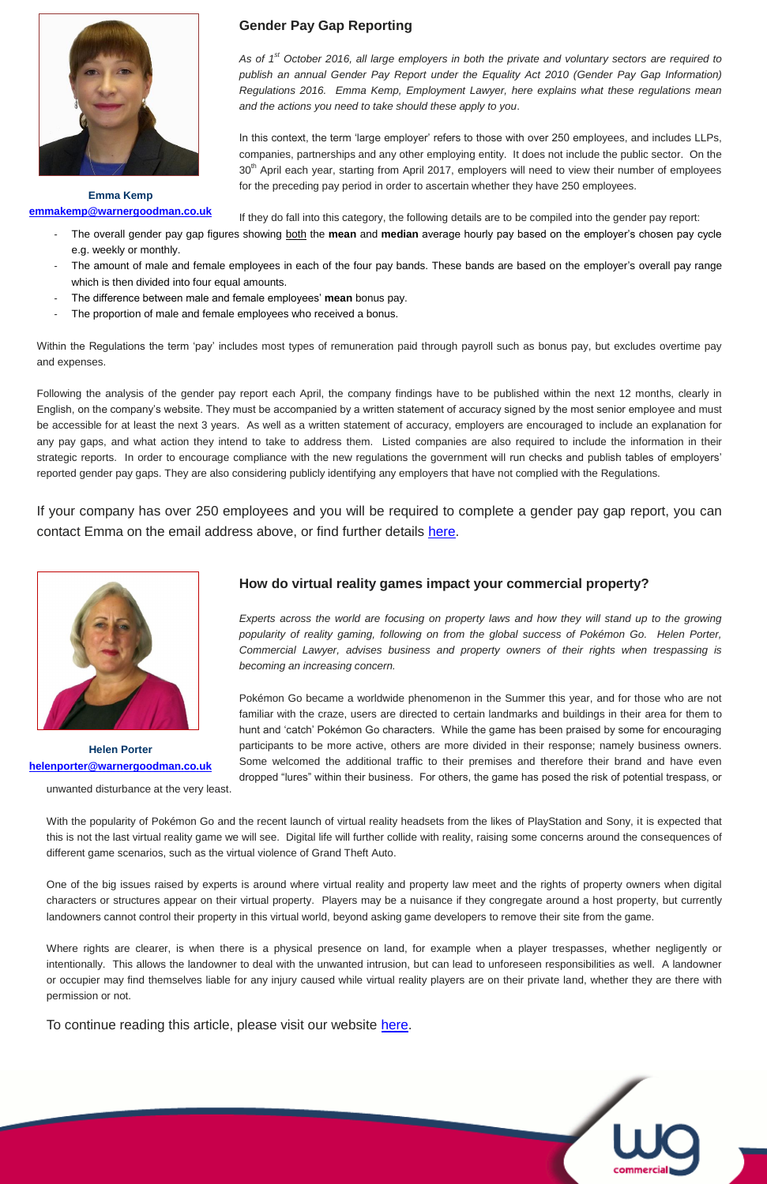

**Emma Kemp [emmakemp@warnergoodman.co.uk](mailto:emmakemp@warnergoodman.co.uk)**

- The overall gender pay gap figures showing both the **mean** and **median** average hourly pay based on the employer's chosen pay cycle e.g. weekly or monthly.
- The amount of male and female employees in each of the four pay bands. These bands are based on the employer's overall pay range which is then divided into four equal amounts.
- The difference between male and female employees' **mean** bonus pay.
- The proportion of male and female employees who received a bonus.

# **Gender Pay Gap Reporting**

*As of 1st October 2016, all large employers in both the private and voluntary sectors are required to publish an annual Gender Pay Report under the Equality Act 2010 (Gender Pay Gap Information) Regulations 2016. Emma Kemp, Employment Lawyer, here explains what these regulations mean and the actions you need to take should these apply to you*.

In this context, the term 'large employer' refers to those with over 250 employees, and includes LLPs, companies, partnerships and any other employing entity. It does not include the public sector. On the 30<sup>th</sup> April each year, starting from April 2017, employers will need to view their number of employees for the preceding pay period in order to ascertain whether they have 250 employees.

If they do fall into this category, the following details are to be compiled into the gender pay report:

Within the Regulations the term 'pay' includes most types of remuneration paid through payroll such as bonus pay, but excludes overtime pay and expenses.

> *Experts across the world are focusing on property laws and how they will stand up to the growing popularity of reality gaming, following on from the global success of Pokémon Go. Helen Porter, Commercial Lawyer, advises business and property owners of their rights when trespassing is becoming an increasing concern.*

Following the analysis of the gender pay report each April, the company findings have to be published within the next 12 months, clearly in English, on the company's website. They must be accompanied by a written statement of accuracy signed by the most senior employee and must be accessible for at least the next 3 years. As well as a written statement of accuracy, employers are encouraged to include an explanation for any pay gaps, and what action they intend to take to address them. Listed companies are also required to include the information in their strategic reports. In order to encourage compliance with the new regulations the government will run checks and publish tables of employers' reported gender pay gaps. They are also considering publicly identifying any employers that have not complied with the Regulations.

If your company has over 250 employees and you will be required to complete a gender pay gap report, you can contact Emma on the email address above, or find further details [here.](https://www.warnergoodman.co.uk/site/people/profile/emma-kemp)

## **How do virtual reality games impact your commercial property?**

Pokémon Go became a worldwide phenomenon in the Summer this year, and for those who are not familiar with the craze, users are directed to certain landmarks and buildings in their area for them to hunt and 'catch' Pokémon Go characters. While the game has been praised by some for encouraging participants to be more active, others are more divided in their response; namely business owners. Some welcomed the additional traffic to their premises and therefore their brand and have even dropped "lures" within their business. For others, the game has posed the risk of potential trespass, or



**Helen Porter [helenporter@warnergoodman.co.uk](mailto:helenporter@warnergoodman.co.uk)** 

unwanted disturbance at the very least.

With the popularity of Pokémon Go and the recent launch of virtual reality headsets from the likes of PlayStation and Sony, it is expected that this is not the last virtual reality game we will see. Digital life will further collide with reality, raising some concerns around the consequences of different game scenarios, such as the virtual violence of Grand Theft Auto.

One of the big issues raised by experts is around where virtual reality and property law meet and the rights of property owners when digital characters or structures appear on their virtual property. Players may be a nuisance if they congregate around a host property, but currently landowners cannot control their property in this virtual world, beyond asking game developers to remove their site from the game.

Where rights are clearer, is when there is a physical presence on land, for example when a player trespasses, whether negligently or intentionally. This allows the landowner to deal with the unwanted intrusion, but can lead to unforeseen responsibilities as well. A landowner or occupier may find themselves liable for any injury caused while virtual reality players are on their private land, whether they are there with permission or not.

To continue reading this article, please visit our website [here.](https://www.warnergoodman.co.uk/site/blog/news/how-do-virtual-reality-games-impact-your-commercial-property)

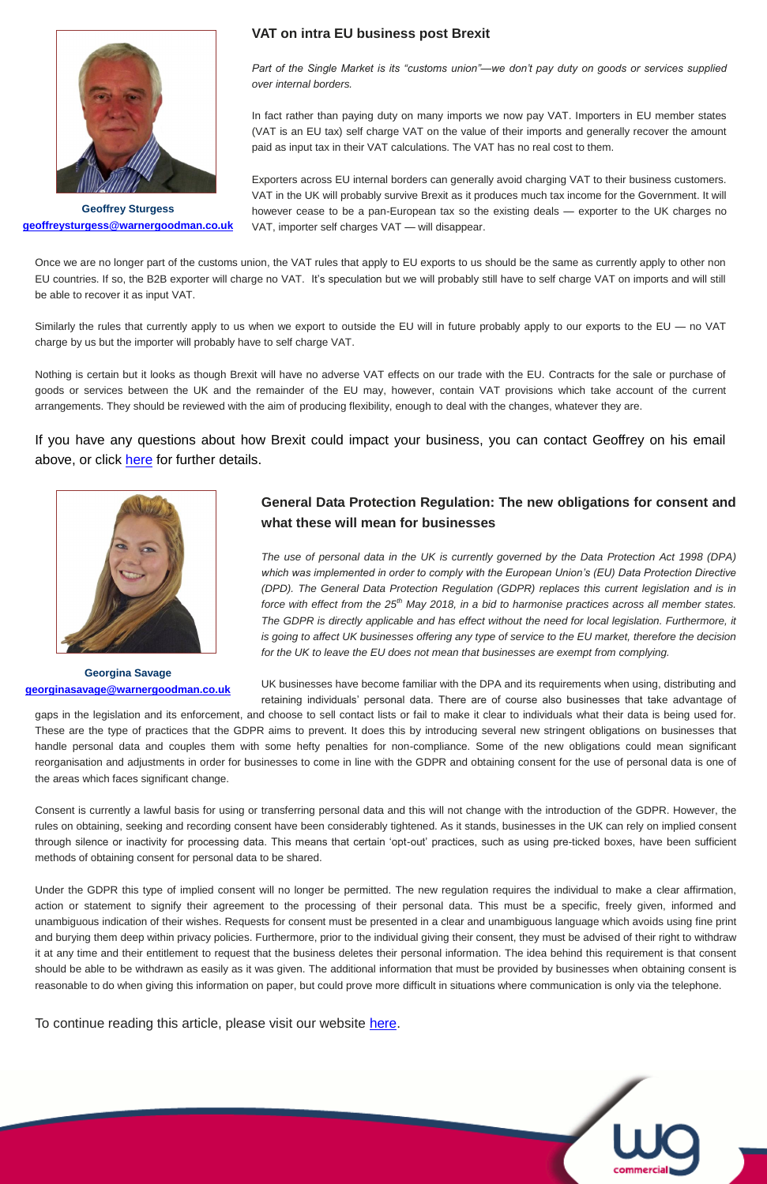## **VAT on intra EU business post Brexit**

*Part of the Single Market is its "customs union"—we don't pay duty on goods or services supplied over internal borders.*

In fact rather than paying duty on many imports we now pay VAT. Importers in EU member states (VAT is an EU tax) self charge VAT on the value of their imports and generally recover the amount paid as input tax in their VAT calculations. The VAT has no real cost to them.

Exporters across EU internal borders can generally avoid charging VAT to their business customers. VAT in the UK will probably survive Brexit as it produces much tax income for the Government. It will however cease to be a pan-European tax so the existing deals — exporter to the UK charges no VAT, importer self charges VAT — will disappear.

Similarly the rules that currently apply to us when we export to outside the EU will in future probably apply to our exports to the EU — no VAT charge by us but the importer will probably have to self charge VAT.



**Georgina Savage [georginasavage@warnergoodman.co.uk](mailto:georginasavage@warnergoodman.co.uk)**



**Geoffrey Sturgess [geoffreysturgess@warnergoodman.co.uk](mailto:geoffreysturgess@warnergoodman.co.uk)** 

If you have any questions about how Brexit could impact your business, you can contact Geoffrey on his email above, or click [here](https://www.warnergoodman.co.uk/site/people/profile/geoffrey-sturgess) for further details.

Once we are no longer part of the customs union, the VAT rules that apply to EU exports to us should be the same as currently apply to other non EU countries. If so, the B2B exporter will charge no VAT. It's speculation but we will probably still have to self charge VAT on imports and will still be able to recover it as input VAT.

Nothing is certain but it looks as though Brexit will have no adverse VAT effects on our trade with the EU. Contracts for the sale or purchase of goods or services between the UK and the remainder of the EU may, however, contain VAT provisions which take account of the current arrangements. They should be reviewed with the aim of producing flexibility, enough to deal with the changes, whatever they are.

# **General Data Protection Regulation: The new obligations for consent and what these will mean for businesses**

gaps in the legislation and its enforcement, and choose to sell contact lists or fail to make it clear to individuals what their data is being used for. These are the type of practices that the GDPR aims to prevent. It does this by introducing several new stringent obligations on businesses that handle personal data and couples them with some hefty penalties for non-compliance. Some of the new obligations could mean significant reorganisation and adjustments in order for businesses to come in line with the GDPR and obtaining consent for the use of personal data is one of the areas which faces significant change.

*The use of personal data in the UK is currently governed by the Data Protection Act 1998 (DPA) which was implemented in order to comply with the European Union's (EU) Data Protection Directive (DPD). The General Data Protection Regulation (GDPR) replaces this current legislation and is in force with effect from the 25th May 2018, in a bid to harmonise practices across all member states. The GDPR is directly applicable and has effect without the need for local legislation. Furthermore, it is going to affect UK businesses offering any type of service to the EU market, therefore the decision for the UK to leave the EU does not mean that businesses are exempt from complying.*

UK businesses have become familiar with the DPA and its requirements when using, distributing and retaining individuals' personal data. There are of course also businesses that take advantage of

Consent is currently a lawful basis for using or transferring personal data and this will not change with the introduction of the GDPR. However, the rules on obtaining, seeking and recording consent have been considerably tightened. As it stands, businesses in the UK can rely on implied consent through silence or inactivity for processing data. This means that certain 'opt-out' practices, such as using pre-ticked boxes, have been sufficient methods of obtaining consent for personal data to be shared.

Under the GDPR this type of implied consent will no longer be permitted. The new regulation requires the individual to make a clear affirmation, action or statement to signify their agreement to the processing of their personal data. This must be a specific, freely given, informed and unambiguous indication of their wishes. Requests for consent must be presented in a clear and unambiguous language which avoids using fine print and burying them deep within privacy policies. Furthermore, prior to the individual giving their consent, they must be advised of their right to withdraw it at any time and their entitlement to request that the business deletes their personal information. The idea behind this requirement is that consent should be able to be withdrawn as easily as it was given. The additional information that must be provided by businesses when obtaining consent is reasonable to do when giving this information on paper, but could prove more difficult in situations where communication is only via the telephone.

## To continue reading this article, please visit our website [here.](https://www.warnergoodman.co.uk/site/blog/news/general-data-protection-regulation-the-new-obligations-for-conse)